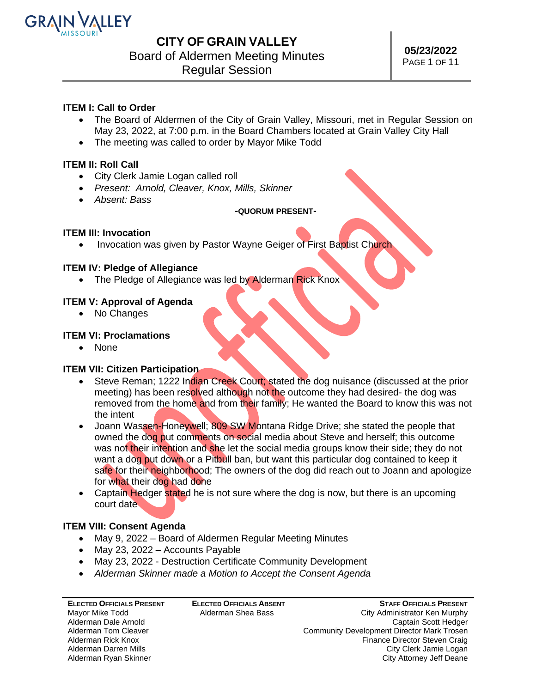

# Board of Aldermen Meeting Minutes

Regular Session

### **ITEM I: Call to Order**

- The Board of Aldermen of the City of Grain Valley, Missouri, met in Regular Session on May 23, 2022, at 7:00 p.m. in the Board Chambers located at Grain Valley City Hall
- The meeting was called to order by Mayor Mike Todd

### **ITEM II: Roll Call**

- City Clerk Jamie Logan called roll
- *Present: Arnold, Cleaver, Knox, Mills, Skinner*
- *Absent: Bass*

### **-QUORUM PRESENT-**

### **ITEM III: Invocation**

• Invocation was given by Pastor Wayne Geiger of First Baptist Church

### **ITEM IV: Pledge of Allegiance**

• The Pledge of Allegiance was led by Alderman Rick Knox

### **ITEM V: Approval of Agenda**

• No Changes

### **ITEM VI: Proclamations**

• None

### **ITEM VII: Citizen Participation**

- Steve Reman; 1222 Indian Creek Court; stated the dog nuisance (discussed at the prior meeting) has been resolved although not the outcome they had desired- the dog was removed from the home and from their family; He wanted the Board to know this was not the intent
- Joann Wassen-Honeywell; 809 SW Montana Ridge Drive; she stated the people that owned the dog put comments on social media about Steve and herself; this outcome was not their intention and she let the social media groups know their side; they do not want a dog put down or a Pitbull ban, but want this particular dog contained to keep it safe for their neighborhood; The owners of the dog did reach out to Joann and apologize for what their dog had done
- Captain Hedger stated he is not sure where the dog is now, but there is an upcoming court date

### **ITEM VIII: Consent Agenda**

- May 9, 2022 Board of Aldermen Regular Meeting Minutes
- May 23, 2022 Accounts Payable
- May 23, 2022 Destruction Certificate Community Development
- *Alderman Skinner made a Motion to Accept the Consent Agenda*

| <b>ELECTED OFFICIALS PRESENT</b> | <b>ELECTED OFFICIALS ABSENT</b> |
|----------------------------------|---------------------------------|
| Mayor Mike Todd                  | Alderman Shea Bass              |
| Alderman Dale Arnold             |                                 |
| Alderman Tom Cleaver             |                                 |
| Alderman Rick Knox               |                                 |
| Alderman Darren Mills            |                                 |
| Alderman Ryan Skinner            |                                 |

**STAFF OFFICIALS PRESENT** City Administrator Ken Murphy Captain Scott Hedger Community Development Director Mark Trosen Finance Director Steven Craig City Clerk Jamie Logan City Attorney Jeff Deane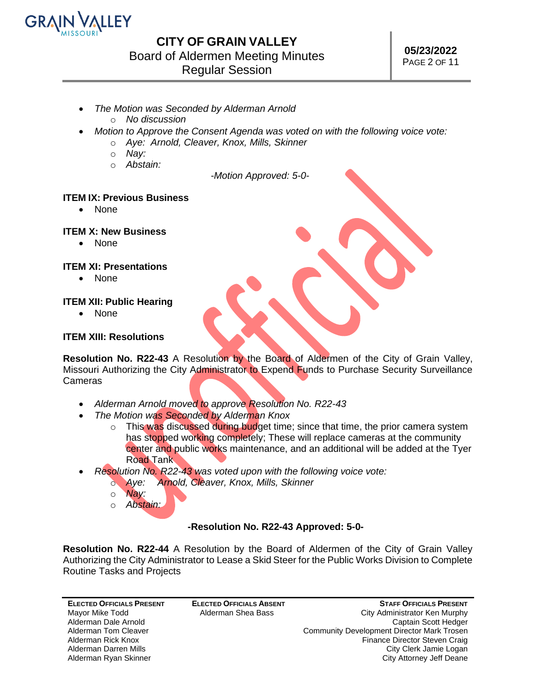

### **CITY OF GRAIN VALLEY** Board of Aldermen Meeting Minutes

Regular Session

- *The Motion was Seconded by Alderman Arnold*
	- o *No discussion*
- *Motion to Approve the Consent Agenda was voted on with the following voice vote:*
	- o *Aye: Arnold, Cleaver, Knox, Mills, Skinner*
	- o *Nay:*
	- o *Abstain:*

*-Motion Approved: 5-0-*

### **ITEM IX: Previous Business**

• None

### **ITEM X: New Business**

• None

### **ITEM XI: Presentations**

• None

### **ITEM XII: Public Hearing**

• None

### **ITEM XIII: Resolutions**

**Resolution No. R22-43** A Resolution by the Board of Aldermen of the City of Grain Valley, Missouri Authorizing the City Administrator to Expend Funds to Purchase Security Surveillance Cameras

- *Alderman Arnold moved to approve Resolution No. R22-43*
- *The Motion was Seconded by Alderman Knox*
	- $\circ$  This was discussed during budget time; since that time, the prior camera system has stopped working completely; These will replace cameras at the community center and public works maintenance, and an additional will be added at the Tyer Road Tank
- *Resolution No. R22-43 was voted upon with the following voice vote:*
	- o *Aye: Arnold, Cleaver, Knox, Mills, Skinner*
	- o *Nay:*
	- o *Abstain:*

### **-Resolution No. R22-43 Approved: 5-0-**

**Resolution No. R22-44** A Resolution by the Board of Aldermen of the City of Grain Valley Authorizing the City Administrator to Lease a Skid Steer for the Public Works Division to Complete Routine Tasks and Projects

**ELECTED OFFICIALS PRESENT** Mayor Mike Todd Alderman Dale Arnold Alderman Tom Cleaver Alderman Rick Knox Alderman Darren Mills Alderman Ryan Skinner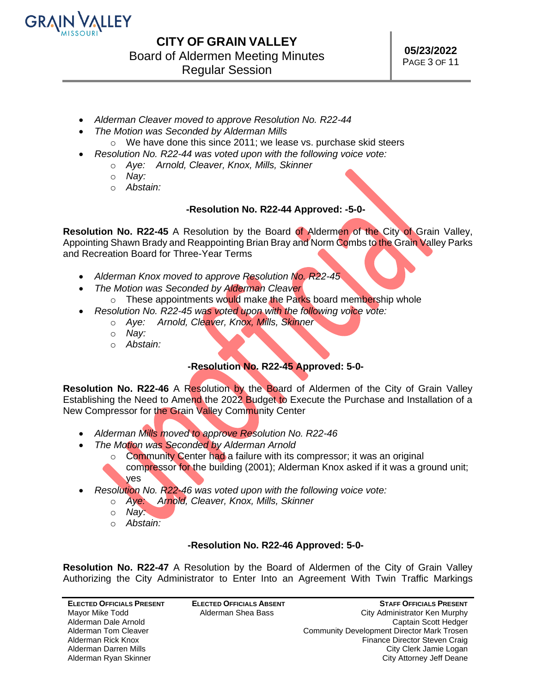

- *Alderman Cleaver moved to approve Resolution No. R22-44*
- *The Motion was Seconded by Alderman Mills*
- o We have done this since 2011; we lease vs. purchase skid steers
- *Resolution No. R22-44 was voted upon with the following voice vote:*
	- o *Aye: Arnold, Cleaver, Knox, Mills, Skinner*
	- o *Nay:*
	- o *Abstain:*

### **-Resolution No. R22-44 Approved: -5-0-**

**Resolution No. R22-45** A Resolution by the Board of Aldermen of the City of Grain Valley, Appointing Shawn Brady and Reappointing Brian Bray and Norm Combs to the Grain Valley Parks and Recreation Board for Three-Year Terms

- *Alderman Knox moved to approve Resolution No. R22-45*
- *The Motion was Seconded by Alderman Cleaver*
	- o These appointments would make the Parks board membership whole
- *Resolution No. R22-45 was voted upon with the following voice vote:*
	- o *Aye: Arnold, Cleaver, Knox, Mills, Skinner*
	- o *Nay:*
	- o *Abstain:*

### **-Resolution No. R22-45 Approved: 5-0-**

**Resolution No. R22-46** A Resolution by the Board of Aldermen of the City of Grain Valley Establishing the Need to Amend the 2022 Budget to Execute the Purchase and Installation of a New Compressor for the Grain Valley Community Center

- *Alderman Mills moved to approve Resolution No. R22-46*
- *The Motion was Seconded by Alderman Arnold*
	- o Community Center had a failure with its compressor; it was an original compressor for the building (2001); Alderman Knox asked if it was a ground unit; yes
- *Resolution No. R22-46 was voted upon with the following voice vote:*
	- o *Aye: Arnold, Cleaver, Knox, Mills, Skinner*
		- o *Nay:*
		- o *Abstain:*

### **-Resolution No. R22-46 Approved: 5-0-**

**Resolution No. R22-47** A Resolution by the Board of Aldermen of the City of Grain Valley Authorizing the City Administrator to Enter Into an Agreement With Twin Traffic Markings

| <b>ELECTED OFFICIALS PRESENT</b> | <b>ELECTED OFFICIALS ABSENT</b> | <b>STAFF OFFICIALS PRESENT</b>             |
|----------------------------------|---------------------------------|--------------------------------------------|
| Mayor Mike Todd                  | Alderman Shea Bass              | City Administrator Ken Murphy              |
| Alderman Dale Arnold             |                                 | Captain Scott Hedger                       |
| Alderman Tom Cleaver             |                                 | Community Development Director Mark Trosen |
| Alderman Rick Knox               |                                 | Finance Director Steven Craig              |
| Alderman Darren Mills            |                                 | City Clerk Jamie Logan                     |
| Alderman Ryan Skinner            |                                 | City Attorney Jeff Deane                   |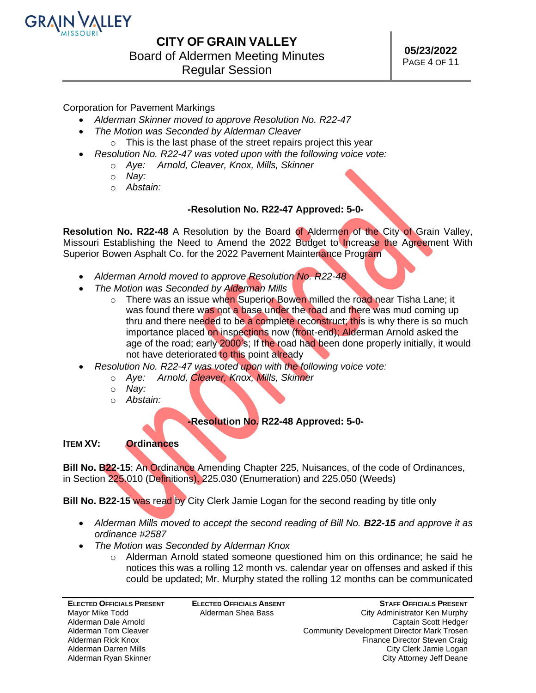

Corporation for Pavement Markings

- *Alderman Skinner moved to approve Resolution No. R22-47*
- *The Motion was Seconded by Alderman Cleaver*
- o This is the last phase of the street repairs project this year
- *Resolution No. R22-47 was voted upon with the following voice vote:*
	- o *Aye: Arnold, Cleaver, Knox, Mills, Skinner*
	- o *Nay:*
	- o *Abstain:*

### **-Resolution No. R22-47 Approved: 5-0-**

**Resolution No. R22-48** A Resolution by the Board of Aldermen of the City of Grain Valley, Missouri Establishing the Need to Amend the 2022 Budget to Increase the Agreement With Superior Bowen Asphalt Co. for the 2022 Pavement Maintenance Program

- *Alderman Arnold moved to approve Resolution No. R22-48*
- *The Motion was Seconded by Alderman Mills*
	- o There was an issue when Superior Bowen milled the road near Tisha Lane; it was found there was not a base under the road and there was mud coming up thru and there needed to be a complete reconstruct; this is why there is so much importance placed on inspections now (front-end); Alderman Arnold asked the age of the road; early 2000's; If the road had been done properly initially, it would not have deteriorated to this point already
- *Resolution No. R22-47 was voted upon with the following voice vote:*
	- o *Aye: Arnold, Cleaver, Knox, Mills, Skinner*
	- o *Nay:*
	- o *Abstain:*

### **-Resolution No. R22-48 Approved: 5-0-**

**ITEM XV: Ordinances**

**Bill No. B22-15**: An Ordinance Amending Chapter 225, Nuisances, of the code of Ordinances, in Section 225.010 (Definitions), 225.030 (Enumeration) and 225.050 (Weeds)

**Bill No. B22-15** was read by City Clerk Jamie Logan for the second reading by title only

- *Alderman Mills moved to accept the second reading of Bill No. B22-15 and approve it as ordinance #2587*
- *The Motion was Seconded by Alderman Knox*
	- $\circ$  Alderman Arnold stated someone questioned him on this ordinance; he said he notices this was a rolling 12 month vs. calendar year on offenses and asked if this could be updated; Mr. Murphy stated the rolling 12 months can be communicated

| <b>ELECTED OFFICIALS ABSENT</b> | <b>STAFF OFFICIALS PRESENT</b>                    |
|---------------------------------|---------------------------------------------------|
| Alderman Shea Bass              | City Administrator Ken Murphy                     |
|                                 | Captain Scott Hedger                              |
|                                 | <b>Community Development Director Mark Trosen</b> |
|                                 | Finance Director Steven Craig                     |
|                                 | City Clerk Jamie Logan                            |
|                                 | City Attorney Jeff Deane                          |
|                                 |                                                   |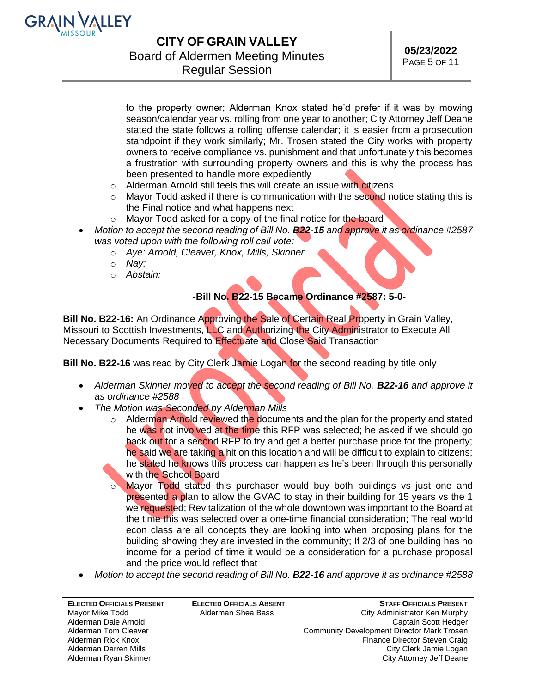

### **CITY OF GRAIN VALLEY** Board of Aldermen Meeting Minutes

Regular Session

to the property owner; Alderman Knox stated he'd prefer if it was by mowing season/calendar year vs. rolling from one year to another; City Attorney Jeff Deane stated the state follows a rolling offense calendar; it is easier from a prosecution standpoint if they work similarly; Mr. Trosen stated the City works with property owners to receive compliance vs. punishment and that unfortunately this becomes a frustration with surrounding property owners and this is why the process has been presented to handle more expediently

- o Alderman Arnold still feels this will create an issue with citizens
- $\circ$  Mayor Todd asked if there is communication with the second notice stating this is the Final notice and what happens next
- o Mayor Todd asked for a copy of the final notice for the board
- *Motion to accept the second reading of Bill No. B22-15 and approve it as ordinance #2587 was voted upon with the following roll call vote:*
	- o *Aye: Arnold, Cleaver, Knox, Mills, Skinner*
	- o *Nay:*
	- o *Abstain:*

### **-Bill No. B22-15 Became Ordinance #2587: 5-0-**

**Bill No. B22-16:** An Ordinance Approving the Sale of Certain Real Property in Grain Valley, Missouri to Scottish Investments, LLC and Authorizing the City Administrator to Execute All Necessary Documents Required to Effectuate and Close Said Transaction

**Bill No. B22-16** was read by City Clerk Jamie Logan for the second reading by title only

- *Alderman Skinner moved to accept the second reading of Bill No. B22-16 and approve it as ordinance #2588*
- *The Motion was Seconded by Alderman Mills*
	- $\circ$  Alderman Arnold reviewed the documents and the plan for the property and stated he was not involved at the time this RFP was selected; he asked if we should go back out for a second RFP to try and get a better purchase price for the property; he said we are taking a hit on this location and will be difficult to explain to citizens; he stated he knows this process can happen as he's been through this personally with the School Board
	- o Mayor Todd stated this purchaser would buy both buildings vs just one and presented a plan to allow the GVAC to stay in their building for 15 years vs the 1 we requested; Revitalization of the whole downtown was important to the Board at the time this was selected over a one-time financial consideration; The real world econ class are all concepts they are looking into when proposing plans for the building showing they are invested in the community; If 2/3 of one building has no income for a period of time it would be a consideration for a purchase proposal and the price would reflect that
- *Motion to accept the second reading of Bill No. B22-16 and approve it as ordinance #2588*

| <b>ELECTED OFFICIALS PRESENT</b> | <b>ELECTED OFFICIALS ABSENT</b> | <b>STAFF OFFICIALS PRESENT</b>             |
|----------------------------------|---------------------------------|--------------------------------------------|
| Mayor Mike Todd                  | Alderman Shea Bass              | City Administrator Ken Murphy              |
| Alderman Dale Arnold             |                                 | Captain Scott Hedger                       |
| Alderman Tom Cleaver             |                                 | Community Development Director Mark Trosen |
| Alderman Rick Knox               |                                 | Finance Director Steven Craig              |
| Alderman Darren Mills            |                                 | City Clerk Jamie Logan                     |
| Alderman Ryan Skinner            |                                 | City Attorney Jeff Deane                   |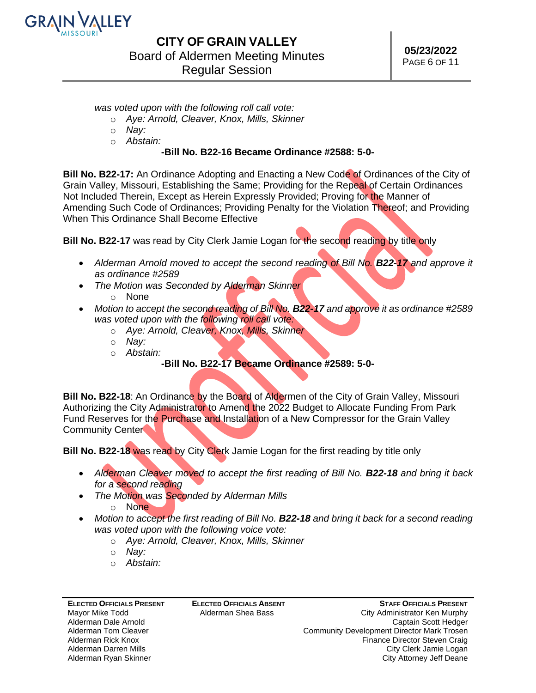

*was voted upon with the following roll call vote:*

- o *Aye: Arnold, Cleaver, Knox, Mills, Skinner*
- o *Nay:*
- o *Abstain:*

### **-Bill No. B22-16 Became Ordinance #2588: 5-0-**

**Bill No. B22-17:** An Ordinance Adopting and Enacting a New Code of Ordinances of the City of Grain Valley, Missouri, Establishing the Same; Providing for the Repeal of Certain Ordinances Not Included Therein, Except as Herein Expressly Provided; Proving for the Manner of Amending Such Code of Ordinances; Providing Penalty for the Violation Thereof; and Providing When This Ordinance Shall Become Effective

**Bill No. B22-17** was read by City Clerk Jamie Logan for the second reading by title only

- Alderman Arnold moved to accept the second reading of Bill No. **B22-17** and approve it *as ordinance #2589*
- *The Motion was Seconded by Alderman Skinner*
	- o None
- *Motion to accept the second reading of Bill No. B22-17 and approve it as ordinance #2589 was voted upon with the following roll call vote:*
	- o *Aye: Arnold, Cleaver, Knox, Mills, Skinner*
	- o *Nay:*
	- o *Abstain:* 
		- **-Bill No. B22-17 Became Ordinance #2589: 5-0-**

**Bill No. B22-18:** An Ordinance by the Board of Aldermen of the City of Grain Valley, Missouri Authorizing the City Administrator to Amend the 2022 Budget to Allocate Funding From Park Fund Reserves for the Purchase and Installation of a New Compressor for the Grain Valley Community Center

**Bill No. B22-18** was read by City Clerk Jamie Logan for the first reading by title only

- *Alderman Cleaver moved to accept the first reading of Bill No. B22-18 and bring it back for a second reading*
- *The Motion was Seconded by Alderman Mills*
	- o None
- Motion to accept the first reading of Bill No. **B22-18** and bring it back for a second reading *was voted upon with the following voice vote:*
	- o *Aye: Arnold, Cleaver, Knox, Mills, Skinner*
	- o *Nay:*
	- o *Abstain:*

**ELECTED OFFICIALS PRESENT** Mayor Mike Todd Alderman Dale Arnold Alderman Tom Cleaver Alderman Rick Knox Alderman Darren Mills Alderman Ryan Skinner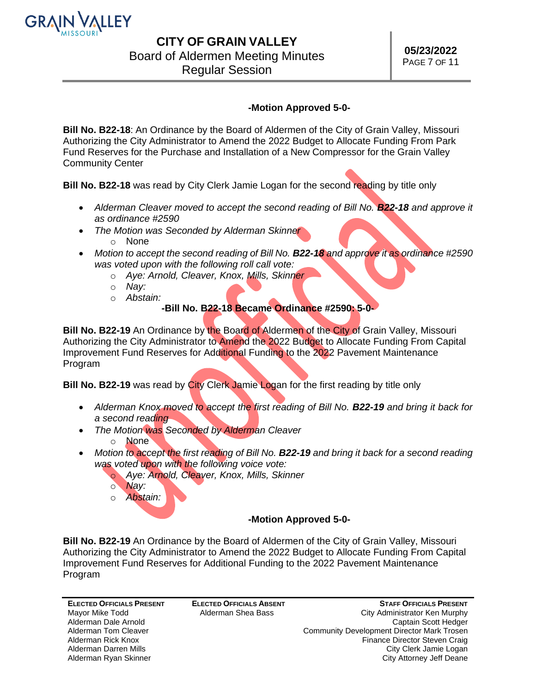

# Board of Aldermen Meeting Minutes

Regular Session

### **-Motion Approved 5-0-**

**Bill No. B22-18**: An Ordinance by the Board of Aldermen of the City of Grain Valley, Missouri Authorizing the City Administrator to Amend the 2022 Budget to Allocate Funding From Park Fund Reserves for the Purchase and Installation of a New Compressor for the Grain Valley Community Center

**Bill No. B22-18** was read by City Clerk Jamie Logan for the second reading by title only

- Alderman Cleaver moved to accept the second reading of Bill No. **B22-18** and approve it *as ordinance #2590*
- *The Motion was Seconded by Alderman Skinner*
	- o None
- *Motion to accept the second reading of Bill No. B22-18 and approve it as ordinance #2590 was voted upon with the following roll call vote:*
	- o *Aye: Arnold, Cleaver, Knox, Mills, Skinner*
	- o *Nay:*
	- o *Abstain:*

### **-Bill No. B22-18 Became Ordinance #2590: 5-0-**

**Bill No. B22-19** An Ordinance by the Board of Aldermen of the City of Grain Valley, Missouri Authorizing the City Administrator to Amend the 2022 Budget to Allocate Funding From Capital Improvement Fund Reserves for Additional Funding to the 2022 Pavement Maintenance Program

**Bill No. B22-19** was read by City Clerk Jamie Logan for the first reading by title only

- Alderman Knox *moved* to accept the first reading of Bill No. **B22-19** and bring it back for *a second reading*
- *The Motion was Seconded by Alderman Cleaver*
	- o None
- Motion to accept the first reading of Bill No. **B22-19** and bring it back for a second reading *was voted upon with the following voice vote:*
	- o *Aye: Arnold, Cleaver, Knox, Mills, Skinner*
	- o *Nay:*
	- o *Abstain:*

### **-Motion Approved 5-0-**

**Bill No. B22-19** An Ordinance by the Board of Aldermen of the City of Grain Valley, Missouri Authorizing the City Administrator to Amend the 2022 Budget to Allocate Funding From Capital Improvement Fund Reserves for Additional Funding to the 2022 Pavement Maintenance Program

**ELECTED OFFICIALS PRESENT** Mayor Mike Todd Alderman Dale Arnold Alderman Tom Cleaver Alderman Rick Knox Alderman Darren Mills Alderman Ryan Skinner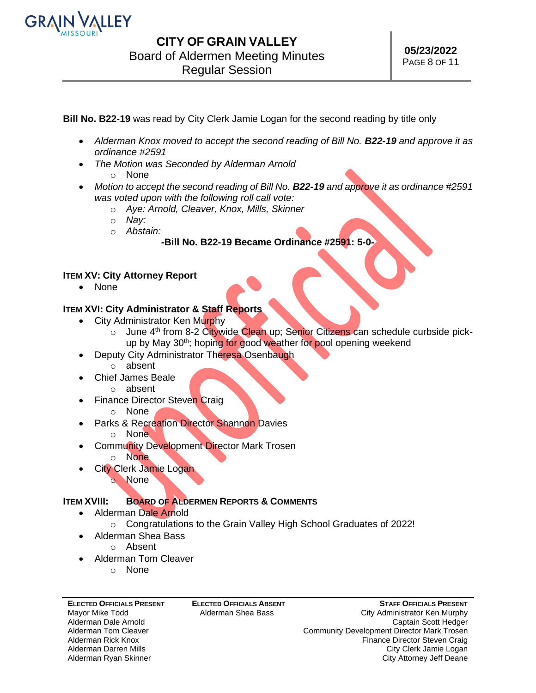

**Bill No. B22-19** was read by City Clerk Jamie Logan for the second reading by title only

- *Alderman Knox moved to accept the second reading of Bill No. B22-19 and approve it as ordinance #2591*
- *The Motion was Seconded by Alderman Arnold*
	- o None
- *Motion to accept the second reading of Bill No. B22-19 and approve it as ordinance #2591 was voted upon with the following roll call vote:*
	- o *Aye: Arnold, Cleaver, Knox, Mills, Skinner*
	- o *Nay:*
	- o *Abstain:*

### **-Bill No. B22-19 Became Ordinance #2591: 5-0-**

### **ITEM XV: City Attorney Report**

• None

### **ITEM XVI: City Administrator & Staff Reports**

- City Administrator Ken Murphy
	- o June 4<sup>th</sup> from 8-2 Citywide Clean up; Senior Citizens can schedule curbside pickup by May 30<sup>th</sup>; hoping for good weather for pool opening weekend
- Deputy City Administrator Theresa Osenbaugh
	- o absent
	- Chief James Beale
		- o absent
- **Finance Director Steven Craig** 
	- o None
- Parks & Recreation Director Shannon Davies
	- o None
- **Community Development Director Mark Trosen** 
	- o None
- **City Clerk Jamie Logan** o None

### **ITEM XVIII: BOARD OF ALDERMEN REPORTS & COMMENTS**

- Alderman Dale Arnold
	- o Congratulations to the Grain Valley High School Graduates of 2022!
- Alderman Shea Bass o Absent
- Alderman Tom Cleaver
	- o None

#### **ELECTED OFFICIALS PRESENT** Mayor Mike Todd Alderman Dale Arnold Alderman Tom Cleaver Alderman Rick Knox Alderman Darren Mills Alderman Ryan Skinner

**ELECTED OFFICIALS ABSENT** Alderman Shea Bass

**STAFF OFFICIALS PRESENT** City Administrator Ken Murphy Captain Scott Hedger Community Development Director Mark Trosen Finance Director Steven Craig City Clerk Jamie Logan City Attorney Jeff Deane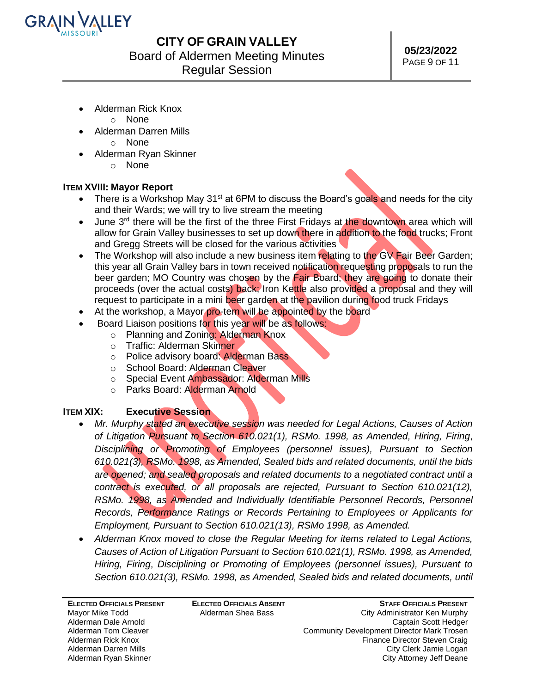

Board of Aldermen Meeting Minutes

Regular Session

- Alderman Rick Knox
	- o None
- Alderman Darren Mills
	- o None
- Alderman Ryan Skinner
	- o None

### **ITEM XVIII: Mayor Report**

- There is a Workshop May 31<sup>st</sup> at 6PM to discuss the Board's goals and needs for the city and their Wards; we will try to live stream the meeting
- June 3<sup>rd</sup> there will be the first of the three First Fridays at the downtown area which will allow for Grain Valley businesses to set up down there in addition to the food trucks; Front and Gregg Streets will be closed for the various activities
- The Workshop will also include a new business item relating to the GV Fair Beer Garden; this year all Grain Valley bars in town received notification requesting proposals to run the beer garden; MO Country was chosen by the Fair Board; they are going to donate their proceeds (over the actual costs) back; Iron Kettle also provided a proposal and they will request to participate in a mini beer garden at the pavilion during food truck Fridays
- At the workshop, a Mayor pro-tem will be appointed by the board
- Board Liaison positions for this year will be as follows:
	- o Planning and Zoning: Alderman Knox
	- o Traffic: Alderman Skinner
	- o Police advisory board: Alderman Bass
	- o School Board: Alderman Cleaver
	- o Special Event Ambassador: Alderman Mills
	- o Parks Board: Alderman Arnold

### **ITEM XIX: Executive Session**

- *Mr. Murphy stated an executive session was needed for Legal Actions, Causes of Action of Litigation Pursuant to Section 610.021(1), RSMo. 1998, as Amended, Hiring, Firing*, *Disciplining or Promoting of Employees (personnel issues), Pursuant to Section 610.021(3), RSMo. 1998, as Amended, Sealed bids and related documents, until the bids are opened; and sealed proposals and related documents to a negotiated contract until a contract is executed, or all proposals are rejected, Pursuant to Section 610.021(12), RSMo. 1998, as Amended and Individually Identifiable Personnel Records, Personnel Records, Performance Ratings or Records Pertaining to Employees or Applicants for Employment, Pursuant to Section 610.021(13), RSMo 1998, as Amended.*
- *Alderman Knox moved to close the Regular Meeting for items related to Legal Actions, Causes of Action of Litigation Pursuant to Section 610.021(1), RSMo. 1998, as Amended, Hiring, Firing*, *Disciplining or Promoting of Employees (personnel issues), Pursuant to*  Section 610.021(3), RSMo. 1998, as Amended, Sealed bids and related documents, until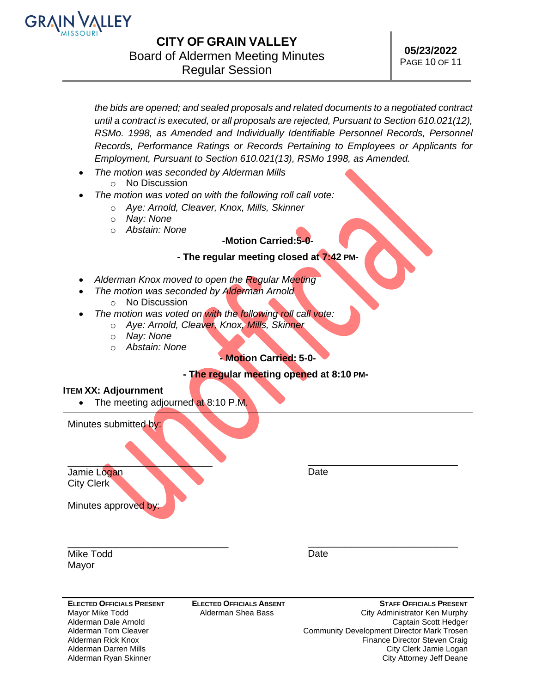

*the bids are opened; and sealed proposals and related documents to a negotiated contract until a contract is executed, or all proposals are rejected, Pursuant to Section 610.021(12), RSMo. 1998, as Amended and Individually Identifiable Personnel Records, Personnel Records, Performance Ratings or Records Pertaining to Employees or Applicants for Employment, Pursuant to Section 610.021(13), RSMo 1998, as Amended.*

- *The motion was seconded by Alderman Mills*
- o No Discussion
- *The motion was voted on with the following roll call vote:*
	- o *Aye: Arnold, Cleaver, Knox, Mills, Skinner*
	- o *Nay: None*
	- o *Abstain: None*

### *-***Motion Carried:5-0-**

### **- The regular meeting closed at 7:42 PM-**

- *Alderman Knox moved to open the Regular Meeting*
- *The motion was seconded by Alderman Arnold*
	- o No Discussion
- *The motion was voted on with the following roll call vote:*
	- o *Aye: Arnold, Cleaver, Knox, Mills, Skinner*
		- o *Nay: None*
		- o *Abstain: None*

### *-* **Motion Carried: 5-0-**

#### **- The regular meeting opened at 8:10 PM-**

#### **ITEM XX: Adjournment**

• The meeting adjourned at 8:10 P.M.

Minutes submitted by:

 $\qquad \qquad \qquad \qquad \qquad$ Jamie Logan City Clerk

\_\_\_\_\_\_\_\_\_\_\_\_\_\_\_\_\_\_\_\_\_\_\_\_\_\_\_\_ **Date** 

**Date** 

Minutes approved by:

\_\_\_\_\_\_\_\_\_\_\_\_\_\_\_\_\_\_\_\_\_\_\_\_\_\_\_\_\_\_ Mike Todd Mayor

**ELECTED OFFICIALS PRESENT** Mayor Mike Todd Alderman Dale Arnold Alderman Tom Cleaver Alderman Rick Knox Alderman Darren Mills Alderman Ryan Skinner

**ELECTED OFFICIALS ABSENT** Alderman Shea Bass

**STAFF OFFICIALS PRESENT** City Administrator Ken Murphy Captain Scott Hedger Community Development Director Mark Trosen Finance Director Steven Craig City Clerk Jamie Logan City Attorney Jeff Deane

\_\_\_\_\_\_\_\_\_\_\_\_\_\_\_\_\_\_\_\_\_\_\_\_\_\_\_\_